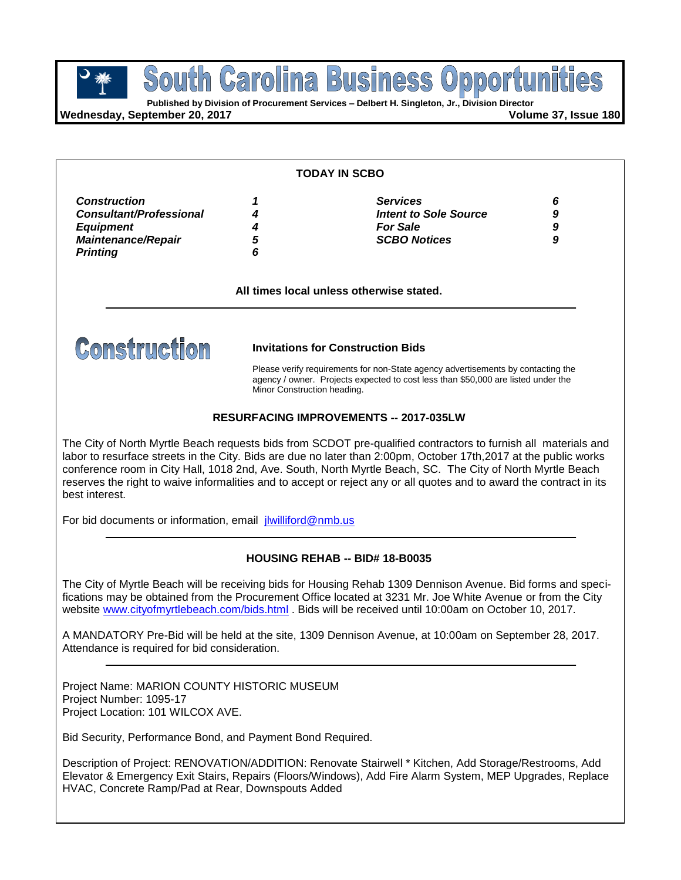**Business POUTH GETOIME BUSINESS OPPOTTU**<br> **Published by Division of Procurement Services – Delbert H. Singleton, Jr., Division Director** South Carolina

**Wednesday, September 20, 2017 Volume 37, Issue 180**

## **TODAY IN SCBO**

| <b>Construction</b>            |   | <b>Services</b>              |   |
|--------------------------------|---|------------------------------|---|
| <b>Consultant/Professional</b> | 4 | <b>Intent to Sole Source</b> | 9 |
| <b>Equipment</b>               |   | <b>For Sale</b>              | 9 |
| <b>Maintenance/Repair</b>      | G | <b>SCBO Notices</b>          | 9 |
| <b>Printing</b>                |   |                              |   |

**All times local unless otherwise stated.**



**Invitations for Construction Bids**

Please verify requirements for non-State agency advertisements by contacting the agency / owner. Projects expected to cost less than \$50,000 are listed under the Minor Construction heading.

## **RESURFACING IMPROVEMENTS -- 2017-035LW**

The City of North Myrtle Beach requests bids from SCDOT pre-qualified contractors to furnish all materials and labor to resurface streets in the City. Bids are due no later than 2:00pm, October 17th,2017 at the public works conference room in City Hall, 1018 2nd, Ave. South, North Myrtle Beach, SC. The City of North Myrtle Beach reserves the right to waive informalities and to accept or reject any or all quotes and to award the contract in its best interest.

For bid documents or information, email [jlwilliford@nmb.us](mailto:jlwilliford@nmb.us)

## **HOUSING REHAB -- BID# 18-B0035**

The City of Myrtle Beach will be receiving bids for Housing Rehab 1309 Dennison Avenue. Bid forms and specifications may be obtained from the Procurement Office located at 3231 Mr. Joe White Avenue or from the City website [www.cityofmyrtlebeach.com/bids.html](http://www.cityofmyrtlebeach.com/bids.html) . Bids will be received until 10:00am on October 10, 2017.

A MANDATORY Pre-Bid will be held at the site, 1309 Dennison Avenue, at 10:00am on September 28, 2017. Attendance is required for bid consideration.

Project Name: MARION COUNTY HISTORIC MUSEUM Project Number: 1095-17 Project Location: 101 WILCOX AVE.

Bid Security, Performance Bond, and Payment Bond Required.

Description of Project: RENOVATION/ADDITION: Renovate Stairwell \* Kitchen, Add Storage/Restrooms, Add Elevator & Emergency Exit Stairs, Repairs (Floors/Windows), Add Fire Alarm System, MEP Upgrades, Replace HVAC, Concrete Ramp/Pad at Rear, Downspouts Added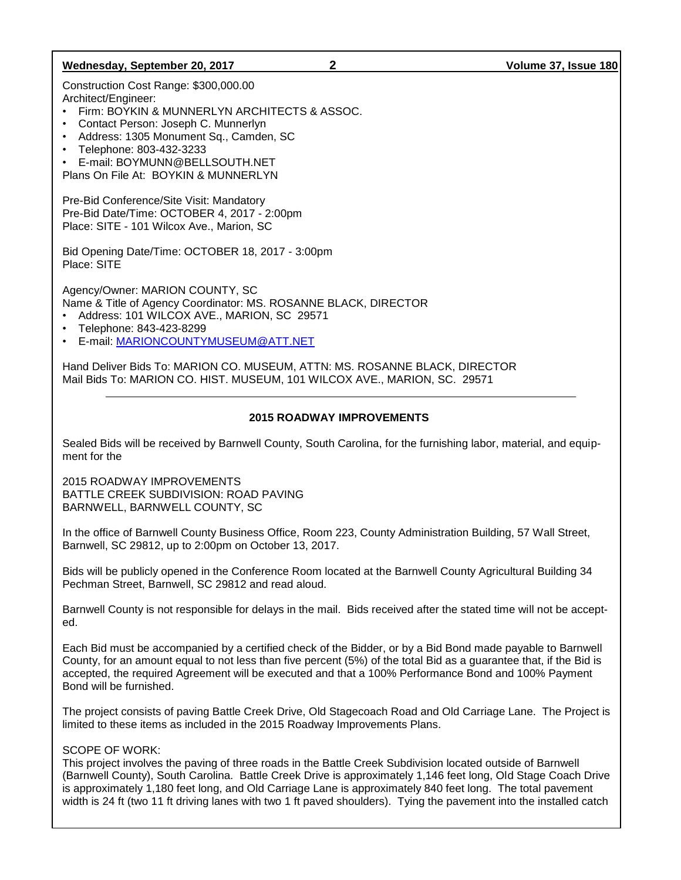## **Wednesday, September 20, 2017 2 Volume 37, Issue 180**

Construction Cost Range: \$300,000.00 Architect/Engineer:

- Firm: BOYKIN & MUNNERLYN ARCHITECTS & ASSOC.
- Contact Person: Joseph C. Munnerlyn
- Address: 1305 Monument Sq., Camden, SC
- Telephone: 803-432-3233

• E-mail: BOYMUNN@BELLSOUTH.NET Plans On File At: BOYKIN & MUNNERLYN

Pre-Bid Conference/Site Visit: Mandatory Pre-Bid Date/Time: OCTOBER 4, 2017 - 2:00pm Place: SITE - 101 Wilcox Ave., Marion, SC

Bid Opening Date/Time: OCTOBER 18, 2017 - 3:00pm Place: SITE

Agency/Owner: MARION COUNTY, SC

Name & Title of Agency Coordinator: MS. ROSANNE BLACK, DIRECTOR

- Address: 101 WILCOX AVE., MARION, SC 29571
- Telephone: 843-423-8299
- E-mail: [MARIONCOUNTYMUSEUM@ATT.NET](mailto:MARIONCOUNTYMUSEUM@ATT.NET)

Hand Deliver Bids To: MARION CO. MUSEUM, ATTN: MS. ROSANNE BLACK, DIRECTOR Mail Bids To: MARION CO. HIST. MUSEUM, 101 WILCOX AVE., MARION, SC. 29571

## **2015 ROADWAY IMPROVEMENTS**

Sealed Bids will be received by Barnwell County, South Carolina, for the furnishing labor, material, and equipment for the

2015 ROADWAY IMPROVEMENTS BATTLE CREEK SUBDIVISION: ROAD PAVING BARNWELL, BARNWELL COUNTY, SC

In the office of Barnwell County Business Office, Room 223, County Administration Building, 57 Wall Street, Barnwell, SC 29812, up to 2:00pm on October 13, 2017.

Bids will be publicly opened in the Conference Room located at the Barnwell County Agricultural Building 34 Pechman Street, Barnwell, SC 29812 and read aloud.

Barnwell County is not responsible for delays in the mail. Bids received after the stated time will not be accepted.

Each Bid must be accompanied by a certified check of the Bidder, or by a Bid Bond made payable to Barnwell County, for an amount equal to not less than five percent (5%) of the total Bid as a guarantee that, if the Bid is accepted, the required Agreement will be executed and that a 100% Performance Bond and 100% Payment Bond will be furnished.

The project consists of paving Battle Creek Drive, Old Stagecoach Road and Old Carriage Lane. The Project is limited to these items as included in the 2015 Roadway Improvements Plans.

### SCOPE OF WORK:

This project involves the paving of three roads in the Battle Creek Subdivision located outside of Barnwell (Barnwell County), South Carolina. Battle Creek Drive is approximately 1,146 feet long, Old Stage Coach Drive is approximately 1,180 feet long, and Old Carriage Lane is approximately 840 feet long. The total pavement width is 24 ft (two 11 ft driving lanes with two 1 ft paved shoulders). Tying the pavement into the installed catch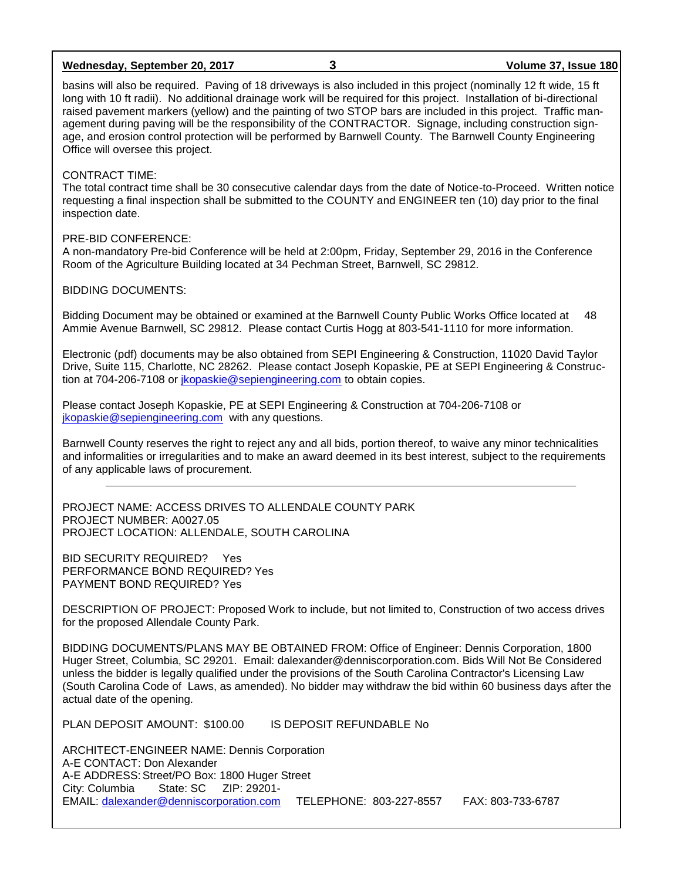#### **Wednesday, September 20, 2017 3 Volume 37, Issue 180**

basins will also be required. Paving of 18 driveways is also included in this project (nominally 12 ft wide, 15 ft long with 10 ft radii). No additional drainage work will be required for this project. Installation of bi-directional raised pavement markers (yellow) and the painting of two STOP bars are included in this project. Traffic management during paving will be the responsibility of the CONTRACTOR. Signage, including construction signage, and erosion control protection will be performed by Barnwell County. The Barnwell County Engineering Office will oversee this project.

## CONTRACT TIME:

The total contract time shall be 30 consecutive calendar days from the date of Notice-to-Proceed. Written notice requesting a final inspection shall be submitted to the COUNTY and ENGINEER ten (10) day prior to the final inspection date.

### PRE-BID CONFERENCE:

A non-mandatory Pre-bid Conference will be held at 2:00pm, Friday, September 29, 2016 in the Conference Room of the Agriculture Building located at 34 Pechman Street, Barnwell, SC 29812.

## BIDDING DOCUMENTS:

Bidding Document may be obtained or examined at the Barnwell County Public Works Office located at 48 Ammie Avenue Barnwell, SC 29812. Please contact Curtis Hogg at 803-541-1110 for more information.

Electronic (pdf) documents may be also obtained from SEPI Engineering & Construction, 11020 David Taylor Drive, Suite 115, Charlotte, NC 28262. Please contact Joseph Kopaskie, PE at SEPI Engineering & Construction at 704-206-7108 or *jkopaskie@sepiengineering.com* to obtain copies.

Please contact Joseph Kopaskie, PE at SEPI Engineering & Construction at 704-206-7108 or [jkopaskie@sepiengineering.com](mailto:jkopaskie@sepiengineering.com) with any questions.

Barnwell County reserves the right to reject any and all bids, portion thereof, to waive any minor technicalities and informalities or irregularities and to make an award deemed in its best interest, subject to the requirements of any applicable laws of procurement.

PROJECT NAME: ACCESS DRIVES TO ALLENDALE COUNTY PARK PROJECT NUMBER: A0027.05 PROJECT LOCATION: ALLENDALE, SOUTH CAROLINA

BID SECURITY REQUIRED? Yes PERFORMANCE BOND REQUIRED? Yes PAYMENT BOND REQUIRED? Yes

DESCRIPTION OF PROJECT: Proposed Work to include, but not limited to, Construction of two access drives for the proposed Allendale County Park.

BIDDING DOCUMENTS/PLANS MAY BE OBTAINED FROM: Office of Engineer: Dennis Corporation, 1800 Huger Street, Columbia, SC 29201. Email: dalexander@denniscorporation.com. Bids Will Not Be Considered unless the bidder is legally qualified under the provisions of the South Carolina Contractor's Licensing Law (South Carolina Code of Laws, as amended). No bidder may withdraw the bid within 60 business days after the actual date of the opening.

PLAN DEPOSIT AMOUNT: \$100.00 IS DEPOSIT REFUNDABLE No

ARCHITECT-ENGINEER NAME: Dennis Corporation A-E CONTACT: Don Alexander A-E ADDRESS: Street/PO Box: 1800 Huger Street City: Columbia State: SC ZIP: 29201- EMAIL: [dalexander@denniscorporation.com](mailto:dalexander@denniscorporation.com) TELEPHONE: 803-227-8557 FAX: 803-733-6787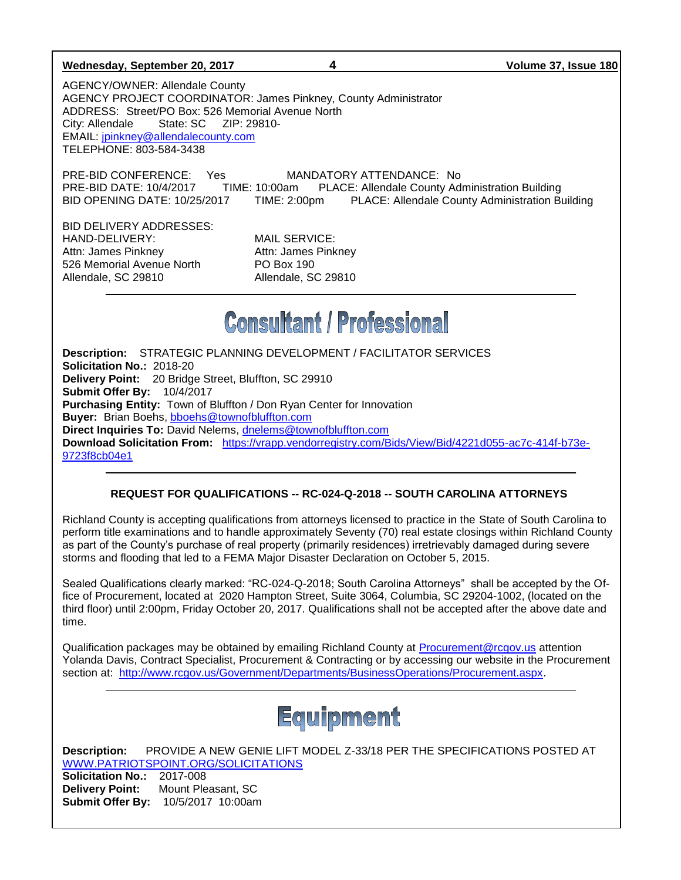#### **Wednesday, September 20, 2017 4 Volume 37, Issue 180**

AGENCY/OWNER: Allendale County AGENCY PROJECT COORDINATOR: James Pinkney, County Administrator ADDRESS: Street/PO Box: 526 Memorial Avenue North City: Allendale State: SC ZIP: 29810- EMAIL: [jpinkney@allendalecounty.com](mailto:jpinkney@allendalecounty.com) TELEPHONE: 803-584-3438

PRE-BID CONFERENCE: Yes MANDATORY ATTENDANCE: No PRE-BID DATE: 10/4/2017 TIME: 10:00am PLACE: Allendale County Administration Building BID OPENING DATE: 10/25/2017 TIME: 2:00pm PLACE: Allendale County Administration Building

BID DELIVERY ADDRESSES: HAND-DELIVERY: MAIL SERVICE: Attn: James Pinkney **Attn: James Pinkney** 526 Memorial Avenue North PO Box 190 Allendale, SC 29810 Allendale, SC 29810

# **Consultant / Professional**

**Description:** STRATEGIC PLANNING DEVELOPMENT / FACILITATOR SERVICES **Solicitation No.:** 2018-20 **Delivery Point:** 20 Bridge Street, Bluffton, SC 29910 **Submit Offer By:** 10/4/2017 **Purchasing Entity:** Town of Bluffton / Don Ryan Center for Innovation **Buyer:** Brian Boehs, [bboehs@townofbluffton.com](mailto:bboehs@townofbluffton.com) **Direct Inquiries To:** David Nelems, [dnelems@townofbluffton.com](mailto:dnelems@townofbluffton.com) **Download Solicitation From:** [https://vrapp.vendorregistry.com/Bids/View/Bid/4221d055-ac7c-414f-b73e-](https://vrapp.vendorregistry.com/Bids/View/Bid/4221d055-ac7c-414f-b73e-9723f8cb04e1)[9723f8cb04e1](https://vrapp.vendorregistry.com/Bids/View/Bid/4221d055-ac7c-414f-b73e-9723f8cb04e1)

## **REQUEST FOR QUALIFICATIONS -- RC-024-Q-2018 -- SOUTH CAROLINA ATTORNEYS**

Richland County is accepting qualifications from attorneys licensed to practice in the State of South Carolina to perform title examinations and to handle approximately Seventy (70) real estate closings within Richland County as part of the County's purchase of real property (primarily residences) irretrievably damaged during severe storms and flooding that led to a FEMA Major Disaster Declaration on October 5, 2015.

Sealed Qualifications clearly marked: "RC-024-Q-2018; South Carolina Attorneys" shall be accepted by the Office of Procurement, located at 2020 Hampton Street, Suite 3064, Columbia, SC 29204-1002, (located on the third floor) until 2:00pm, Friday October 20, 2017. Qualifications shall not be accepted after the above date and time.

Qualification packages may be obtained by emailing Richland County at [Procurement@rcgov.us](mailto:Procurement@rcgov.us) attention Yolanda Davis, Contract Specialist, Procurement & Contracting or by accessing our website in the Procurement section at: [http://www.rcgov.us/Government/Departments/BusinessOperations/Procurement.aspx.](http://www.rcgov.us/Government/Departments/BusinessOperations/Procurement.aspx)



**Description:** PROVIDE A NEW GENIE LIFT MODEL Z-33/18 PER THE SPECIFICATIONS POSTED AT [WWW.PATRIOTSPOINT.ORG/SOLICITATIONS](http://www.patriotspoint.org/SOLICITATIONS) **Solicitation No.:** 2017-008 **Delivery Point:** Mount Pleasant, SC **Submit Offer By:** 10/5/2017 10:00am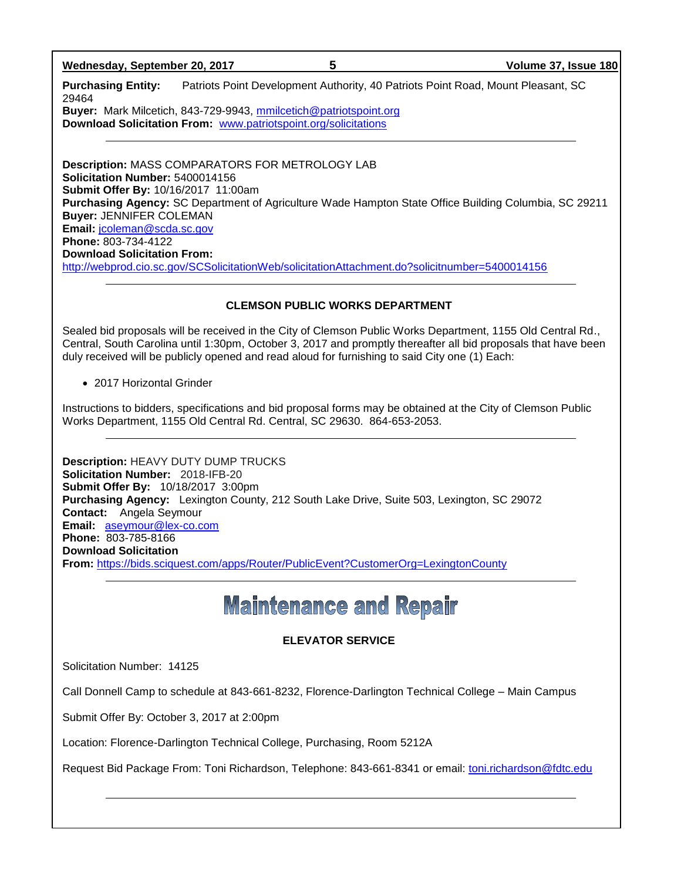**Wednesday, September 20, 2017 5 Volume 37, Issue 180**

**Purchasing Entity:** Patriots Point Development Authority, 40 Patriots Point Road, Mount Pleasant, SC 29464

**Buyer:** Mark Milcetich, 843-729-9943, [mmilcetich@patriotspoint.org](mailto:mmilcetich@patriotspoint.org) **Download Solicitation From:** [www.patriotspoint.org/solicitations](http://www.patriotspoint.org/solicitations)

**Description:** MASS COMPARATORS FOR METROLOGY LAB **Solicitation Number:** 5400014156 **Submit Offer By:** 10/16/2017 11:00am **Purchasing Agency:** SC Department of Agriculture Wade Hampton State Office Building Columbia, SC 29211 **Buyer:** JENNIFER COLEMAN **Email:** [jcoleman@scda.sc.gov](mailto:jcoleman@scda.sc.gov) **Phone:** 803-734-4122 **Download Solicitation From:**  <http://webprod.cio.sc.gov/SCSolicitationWeb/solicitationAttachment.do?solicitnumber=5400014156>

## **CLEMSON PUBLIC WORKS DEPARTMENT**

Sealed bid proposals will be received in the City of Clemson Public Works Department, 1155 Old Central Rd., Central, South Carolina until 1:30pm, October 3, 2017 and promptly thereafter all bid proposals that have been duly received will be publicly opened and read aloud for furnishing to said City one (1) Each:

• 2017 Horizontal Grinder

Instructions to bidders, specifications and bid proposal forms may be obtained at the City of Clemson Public Works Department, 1155 Old Central Rd. Central, SC 29630. 864-653-2053.

**Description:** HEAVY DUTY DUMP TRUCKS **Solicitation Number:** 2018-IFB-20 **Submit Offer By:** 10/18/2017 3:00pm **Purchasing Agency:** Lexington County, 212 South Lake Drive, Suite 503, Lexington, SC 29072 **Contact:** Angela Seymour **Email:** [aseymour@lex-co.com](mailto:aseymour@lex-co.com) **Phone:** 803-785-8166 **Download Solicitation From:** <https://bids.sciquest.com/apps/Router/PublicEvent?CustomerOrg=LexingtonCounty>

## **Maintenance and Repair**

## **ELEVATOR SERVICE**

Solicitation Number: 14125

Call Donnell Camp to schedule at 843-661-8232, Florence-Darlington Technical College – Main Campus

Submit Offer By: October 3, 2017 at 2:00pm

Location: Florence-Darlington Technical College, Purchasing, Room 5212A

Request Bid Package From: Toni Richardson, Telephone: 843-661-8341 or email: [toni.richardson@fdtc.edu](mailto:toni.richardson@fdtc.edu)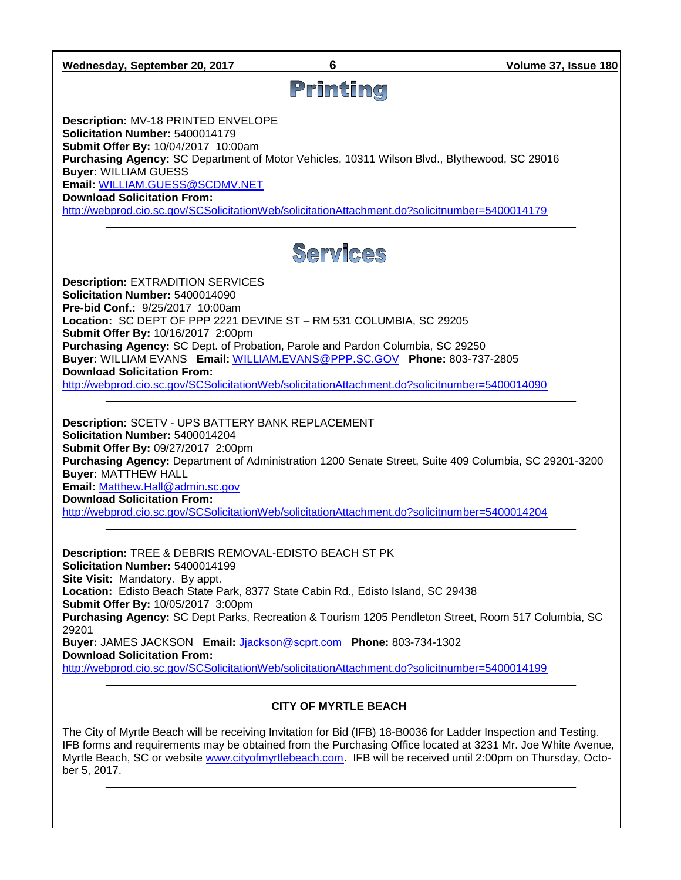**Wednesday, September 20, 2017 6 Volume 37, Issue 180** Printing **Description:** MV-18 PRINTED ENVELOPE **Solicitation Number:** 5400014179 **Submit Offer By:** 10/04/2017 10:00am **Purchasing Agency:** SC Department of Motor Vehicles, 10311 Wilson Blvd., Blythewood, SC 29016 **Buyer:** WILLIAM GUESS **Email:** [WILLIAM.GUESS@SCDMV.NET](mailto:WILLIAM.GUESS@SCDMV.NET) **Download Solicitation From:**  <http://webprod.cio.sc.gov/SCSolicitationWeb/solicitationAttachment.do?solicitnumber=5400014179> Services **Description:** EXTRADITION SERVICES **Solicitation Number:** 5400014090 **Pre-bid Conf.:** 9/25/2017 10:00am **Location:** SC DEPT OF PPP 2221 DEVINE ST – RM 531 COLUMBIA, SC 29205 **Submit Offer By:** 10/16/2017 2:00pm **Purchasing Agency:** SC Dept. of Probation, Parole and Pardon Columbia, SC 29250 **Buyer:** WILLIAM EVANS **Email:** [WILLIAM.EVANS@PPP.SC.GOV](mailto:WILLIAM.EVANS@PPP.SC.GOV) **Phone:** 803-737-2805 **Download Solicitation From:**  <http://webprod.cio.sc.gov/SCSolicitationWeb/solicitationAttachment.do?solicitnumber=5400014090> **Description:** SCETV - UPS BATTERY BANK REPLACEMENT **Solicitation Number:** 5400014204 **Submit Offer By:** 09/27/2017 2:00pm **Purchasing Agency:** Department of Administration 1200 Senate Street, Suite 409 Columbia, SC 29201-3200 **Buyer:** MATTHEW HALL **Email:** [Matthew.Hall@admin.sc.gov](mailto:Matthew.Hall@admin.sc.gov) **Download Solicitation From:**  <http://webprod.cio.sc.gov/SCSolicitationWeb/solicitationAttachment.do?solicitnumber=5400014204> **Description:** TREE & DEBRIS REMOVAL-EDISTO BEACH ST PK **Solicitation Number:** 5400014199 **Site Visit:** Mandatory. By appt. **Location:** Edisto Beach State Park, 8377 State Cabin Rd., Edisto Island, SC 29438 **Submit Offer By:** 10/05/2017 3:00pm **Purchasing Agency:** SC Dept Parks, Recreation & Tourism 1205 Pendleton Street, Room 517 Columbia, SC 29201 **Buyer:** JAMES JACKSON **Email:** [Jjackson@scprt.com](mailto:Jjackson@scprt.com) **Phone:** 803-734-1302 **Download Solicitation From:**  <http://webprod.cio.sc.gov/SCSolicitationWeb/solicitationAttachment.do?solicitnumber=5400014199> **CITY OF MYRTLE BEACH** The City of Myrtle Beach will be receiving Invitation for Bid (IFB) 18-B0036 for Ladder Inspection and Testing.

IFB forms and requirements may be obtained from the Purchasing Office located at 3231 Mr. Joe White Avenue, Myrtle Beach, SC or website [www.cityofmyrtlebeach.com.](http://www.cityofmyrtlebeach.com/) IFB will be received until 2:00pm on Thursday, October 5, 2017.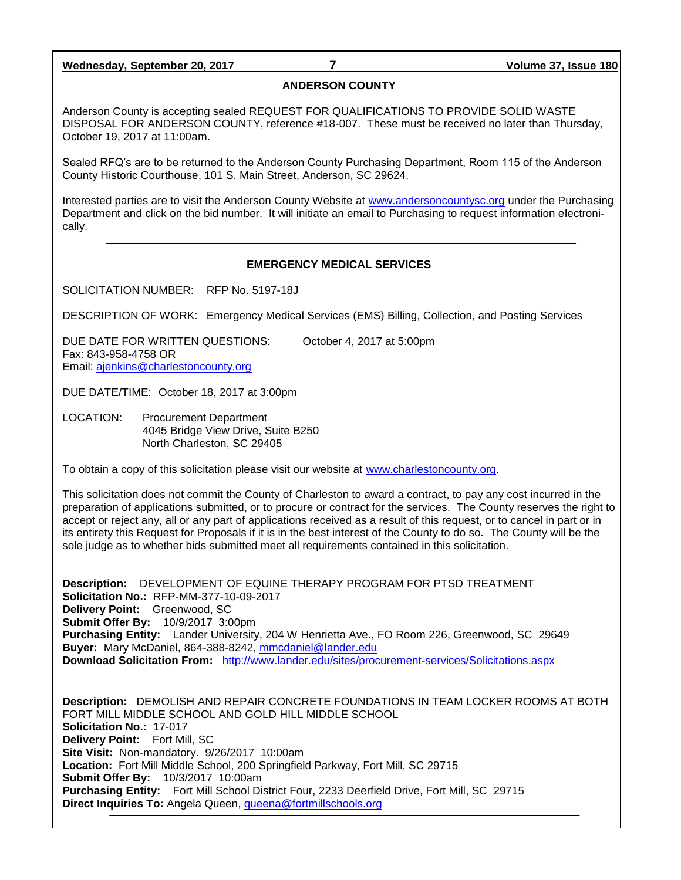**Wednesday, September 20, 2017 7 Volume 37, Issue 180**

## **ANDERSON COUNTY**

Anderson County is accepting sealed REQUEST FOR QUALIFICATIONS TO PROVIDE SOLID WASTE DISPOSAL FOR ANDERSON COUNTY, reference #18-007. These must be received no later than Thursday, October 19, 2017 at 11:00am.

Sealed RFQ's are to be returned to the Anderson County Purchasing Department, Room 115 of the Anderson County Historic Courthouse, 101 S. Main Street, Anderson, SC 29624.

Interested parties are to visit the Anderson County Website at [www.andersoncountysc.org](http://www.andersoncountysc.org/) under the Purchasing Department and click on the bid number. It will initiate an email to Purchasing to request information electronically.

## **EMERGENCY MEDICAL SERVICES**

SOLICITATION NUMBER: RFP No. 5197-18J

DESCRIPTION OF WORK: Emergency Medical Services (EMS) Billing, Collection, and Posting Services

DUE DATE FOR WRITTEN QUESTIONS: October 4, 2017 at 5:00pm Fax: 843-958-4758 OR Email: [ajenkins@charlestoncounty.org](mailto:ajenkins@charlestoncounty.org)

DUE DATE/TIME: October 18, 2017 at 3:00pm

LOCATION: Procurement Department 4045 Bridge View Drive, Suite B250 North Charleston, SC 29405

To obtain a copy of this solicitation please visit our website at [www.charlestoncounty.org.](http://www.charlestoncounty.org/)

This solicitation does not commit the County of Charleston to award a contract, to pay any cost incurred in the preparation of applications submitted, or to procure or contract for the services. The County reserves the right to accept or reject any, all or any part of applications received as a result of this request, or to cancel in part or in its entirety this Request for Proposals if it is in the best interest of the County to do so. The County will be the sole judge as to whether bids submitted meet all requirements contained in this solicitation.

**Description:** DEVELOPMENT OF EQUINE THERAPY PROGRAM FOR PTSD TREATMENT **Solicitation No.:** RFP-MM-377-10-09-2017 **Delivery Point:** Greenwood, SC **Submit Offer By:** 10/9/2017 3:00pm **Purchasing Entity:** Lander University, 204 W Henrietta Ave., FO Room 226, Greenwood, SC 29649 **Buyer:** Mary McDaniel, 864-388-8242, [mmcdaniel@lander.edu](mailto:mmcdaniel@lander.edu) **Download Solicitation From:** <http://www.lander.edu/sites/procurement-services/Solicitations.aspx>

**Description:** DEMOLISH AND REPAIR CONCRETE FOUNDATIONS IN TEAM LOCKER ROOMS AT BOTH FORT MILL MIDDLE SCHOOL AND GOLD HILL MIDDLE SCHOOL **Solicitation No.:** 17-017 **Delivery Point:** Fort Mill, SC **Site Visit:** Non-mandatory. 9/26/2017 10:00am **Location:** Fort Mill Middle School, 200 Springfield Parkway, Fort Mill, SC 29715 **Submit Offer By:** 10/3/2017 10:00am **Purchasing Entity:** Fort Mill School District Four, 2233 Deerfield Drive, Fort Mill, SC 29715 **Direct Inquiries To:** Angela Queen, [queena@fortmillschools.org](mailto:queena@fortmillschools.org)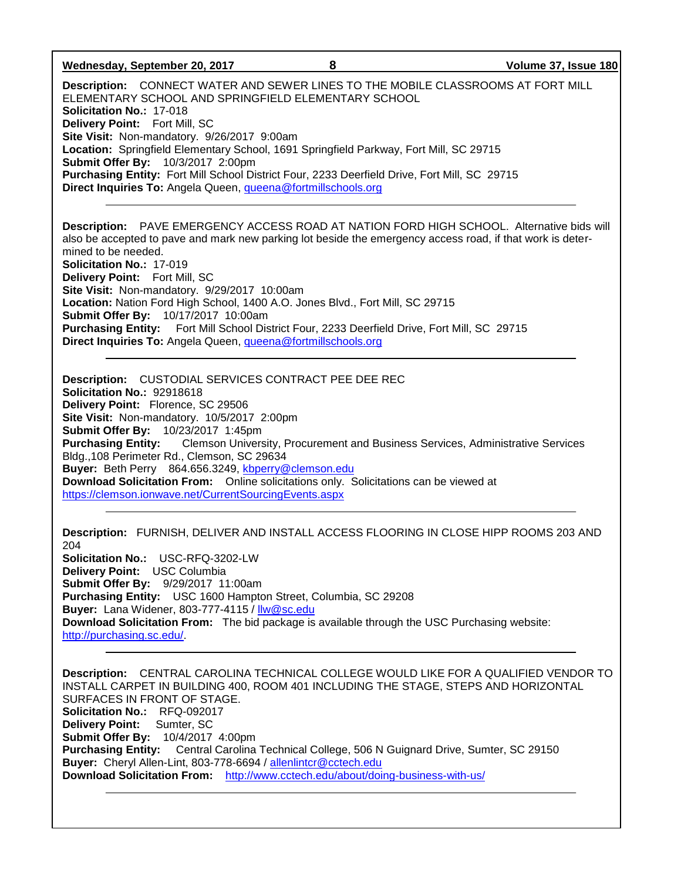**Wednesday, September 20, 2017 8 Volume 37, Issue 180 Description:** CONNECT WATER AND SEWER LINES TO THE MOBILE CLASSROOMS AT FORT MILL ELEMENTARY SCHOOL AND SPRINGFIELD ELEMENTARY SCHOOL **Solicitation No.:** 17-018 **Delivery Point:** Fort Mill, SC **Site Visit:** Non-mandatory. 9/26/2017 9:00am **Location:** Springfield Elementary School, 1691 Springfield Parkway, Fort Mill, SC 29715 **Submit Offer By:** 10/3/2017 2:00pm **Purchasing Entity:** Fort Mill School District Four, 2233 Deerfield Drive, Fort Mill, SC 29715 **Direct Inquiries To:** Angela Queen, [queena@fortmillschools.org](mailto:queena@fortmillschools.org) **Description:** PAVE EMERGENCY ACCESS ROAD AT NATION FORD HIGH SCHOOL. Alternative bids will also be accepted to pave and mark new parking lot beside the emergency access road, if that work is determined to be needed. **Solicitation No.:** 17-019 **Delivery Point:** Fort Mill, SC **Site Visit:** Non-mandatory. 9/29/2017 10:00am **Location:** Nation Ford High School, 1400 A.O. Jones Blvd., Fort Mill, SC 29715 **Submit Offer By:** 10/17/2017 10:00am **Purchasing Entity:** Fort Mill School District Four, 2233 Deerfield Drive, Fort Mill, SC 29715 **Direct Inquiries To:** Angela Queen, **queena@fortmillschools.org Description:** CUSTODIAL SERVICES CONTRACT PEE DEE REC **Solicitation No.:** 92918618 **Delivery Point:** Florence, SC 29506 **Site Visit:** Non-mandatory. 10/5/2017 2:00pm **Submit Offer By:** 10/23/2017 1:45pm **Purchasing Entity:** Clemson University, Procurement and Business Services, Administrative Services Bldg.,108 Perimeter Rd., Clemson, SC 29634 **Buyer:** Beth Perry 864.656.3249, [kbperry@clemson.edu](mailto:kbperry@clemson.edu) **Download Solicitation From:** Online solicitations only. Solicitations can be viewed at <https://clemson.ionwave.net/CurrentSourcingEvents.aspx> **Description:** FURNISH, DELIVER AND INSTALL ACCESS FLOORING IN CLOSE HIPP ROOMS 203 AND 204 **Solicitation No.:** USC-RFQ-3202-LW **Delivery Point:** USC Columbia **Submit Offer By:** 9/29/2017 11:00am **Purchasing Entity:** USC 1600 Hampton Street, Columbia, SC 29208 **Buyer:** Lana Widener, 803-777-4115 / [llw@sc.edu](mailto:llw@sc.edu) **Download Solicitation From:** The bid package is available through the USC Purchasing website: [http://purchasing.sc.edu/.](http://purchasing.sc.edu/) **Description:** CENTRAL CAROLINA TECHNICAL COLLEGE WOULD LIKE FOR A QUALIFIED VENDOR TO INSTALL CARPET IN BUILDING 400, ROOM 401 INCLUDING THE STAGE, STEPS AND HORIZONTAL SURFACES IN FRONT OF STAGE. **Solicitation No.:** RFQ-092017 **Delivery Point:** Sumter, SC **Submit Offer By:** 10/4/2017 4:00pm **Purchasing Entity:** Central Carolina Technical College, 506 N Guignard Drive, Sumter, SC 29150

**Buyer:** Cheryl Allen-Lint, 803-778-6694 / [allenlintcr@cctech.edu](mailto:allenlintcr@cctech.edu) **Download Solicitation From:** <http://www.cctech.edu/about/doing-business-with-us/>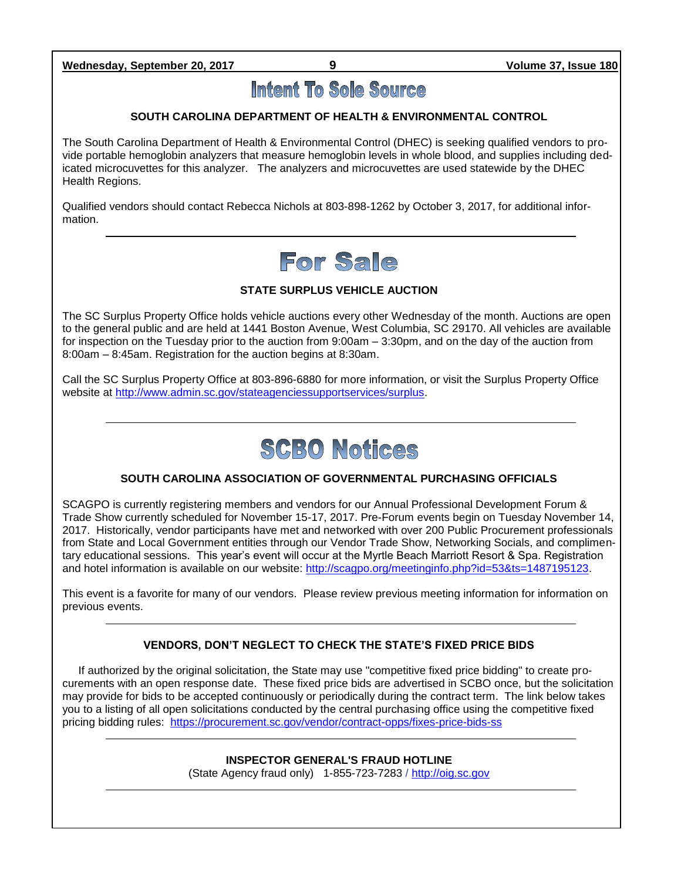**Wednesday, September 20, 2017 9 Volume 37, Issue 180**

## Intent To Sole Source

## **SOUTH CAROLINA DEPARTMENT OF HEALTH & ENVIRONMENTAL CONTROL**

The South Carolina Department of Health & Environmental Control (DHEC) is seeking qualified vendors to provide portable hemoglobin analyzers that measure hemoglobin levels in whole blood, and supplies including dedicated microcuvettes for this analyzer. The analyzers and microcuvettes are used statewide by the DHEC Health Regions.

Qualified vendors should contact Rebecca Nichols at 803-898-1262 by October 3, 2017, for additional information.



## **STATE SURPLUS VEHICLE AUCTION**

The SC Surplus Property Office holds vehicle auctions every other Wednesday of the month. Auctions are open to the general public and are held at 1441 Boston Avenue, West Columbia, SC 29170. All vehicles are available for inspection on the Tuesday prior to the auction from 9:00am – 3:30pm, and on the day of the auction from 8:00am – 8:45am. Registration for the auction begins at 8:30am.

Call the SC Surplus Property Office at 803-896-6880 for more information, or visit the Surplus Property Office website at [http://www.admin.sc.gov/stateagenciessupportservices/surplus.](http://www.admin.sc.gov/stateagenciessupportservices/surplus)



## **SOUTH CAROLINA ASSOCIATION OF GOVERNMENTAL PURCHASING OFFICIALS**

SCAGPO is currently registering members and vendors for our Annual Professional Development Forum & Trade Show currently scheduled for November 15-17, 2017. Pre-Forum events begin on Tuesday November 14, 2017. Historically, vendor participants have met and networked with over 200 Public Procurement professionals from State and Local Government entities through our Vendor Trade Show, Networking Socials, and complimentary educational sessions. This year's event will occur at the Myrtle Beach Marriott Resort & Spa. Registration and hotel information is available on our website: [http://scagpo.org/meetinginfo.php?id=53&ts=1487195123.](http://scagpo.org/meetinginfo.php?id=53&ts=1487195123)

This event is a favorite for many of our vendors. Please review previous meeting information for information on previous events.

## **VENDORS, DON'T NEGLECT TO CHECK THE STATE'S FIXED PRICE BIDS**

If authorized by the original solicitation, the State may use "competitive fixed price bidding" to create procurements with an open response date. These fixed price bids are advertised in SCBO once, but the solicitation may provide for bids to be accepted continuously or periodically during the contract term. The link below takes you to a listing of all open solicitations conducted by the central purchasing office using the competitive fixed pricing bidding rules: <https://procurement.sc.gov/vendor/contract-opps/fixes-price-bids-ss>

## **INSPECTOR GENERAL'S FRAUD HOTLINE**

(State Agency fraud only) 1-855-723-7283 / [http://oig.sc.gov](http://oig.sc.gov/)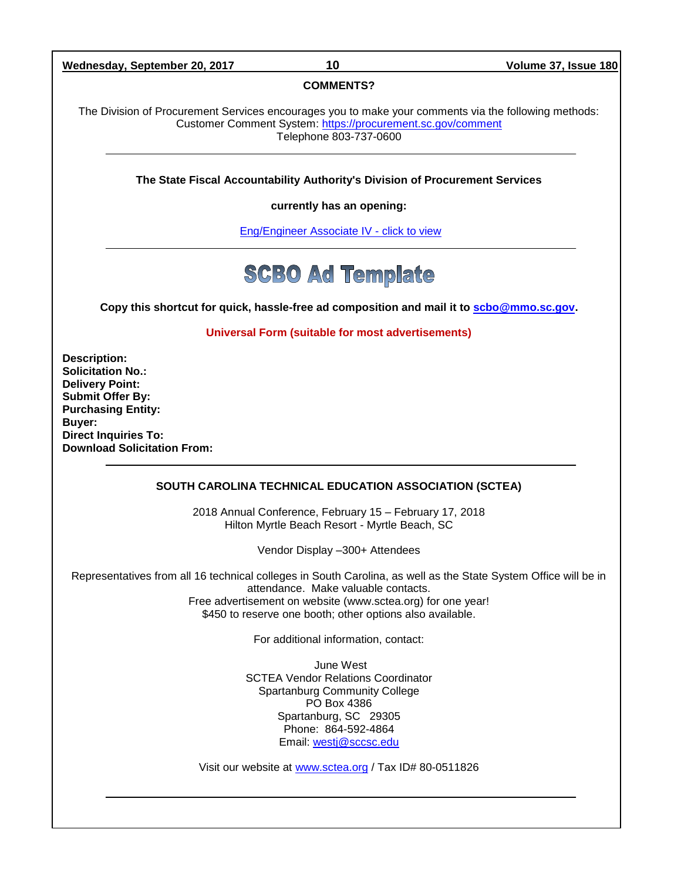**Wednesday, September 20, 2017 10 Volume 37, Issue 180**

## **COMMENTS?**

The Division of Procurement Services encourages you to make your comments via the following methods: Customer Comment System:<https://procurement.sc.gov/comment> Telephone 803-737-0600

**The State Fiscal Accountability Authority's Division of Procurement Services** 

**currently has an opening:**

[Eng/Engineer Associate IV -](http://agency.governmentjobs.com/sc/default.cfm?action=viewJob&jobID=1632757&hit_count=yes&headerFooter=1&promo=0&transfer=0&WDDXJobSearchParams=%3CwddxPacket%20version%3D%271%2E0%27%3E%3Cheader%2F%3E%3Cdata%3E%3Cstruct%3E%3Cvar%20name%3D%27TRANSFER%27%3E%3Cstring%3E0%3C%2Fstring%3E%3C%2Fvar%3E%3Cvar%20name%3D%27CATEGORYID%27%3E%3Cstring%3E-1%3C%2Fstring%3E%3C%2Fvar%3E%3Cvar%20name%3D%27FIND_KEYWORD%27%3E%3Cstring%3E%3C%2Fstring%3E%3C%2Fvar%3E%3Cvar%20name%3D%27PROMOTIONALJOBS%27%3E%3Cstring%3E0%3C%2Fstring%3E%3C%2Fvar%3E%3C%2Fstruct%3E%3C%2Fdata%3E%3C%2FwddxPacket%3E) click to view

## **SCBO Ad Template**

**Copy this shortcut for quick, hassle-free ad composition and mail it to [scbo@mmo.sc.gov.](mailto:scbo@mmo.sc.gov)** 

**Universal Form (suitable for most advertisements)**

**Description: Solicitation No.: Delivery Point: Submit Offer By: Purchasing Entity: Buyer: Direct Inquiries To: Download Solicitation From:**

### **SOUTH CAROLINA TECHNICAL EDUCATION ASSOCIATION (SCTEA)**

2018 Annual Conference, February 15 – February 17, 2018 Hilton Myrtle Beach Resort - Myrtle Beach, SC

Vendor Display –300+ Attendees

Representatives from all 16 technical colleges in South Carolina, as well as the State System Office will be in attendance. Make valuable contacts. Free advertisement on website (www.sctea.org) for one year! \$450 to reserve one booth; other options also available.

For additional information, contact:

June West SCTEA Vendor Relations Coordinator Spartanburg Community College PO Box 4386 Spartanburg, SC 29305 Phone: 864-592-4864 Email: [westj@sccsc.edu](mailto:westj@sccsc.edu)

Visit our website at [www.sctea.org](http://www.sctea.org/) / Tax ID# 80-0511826